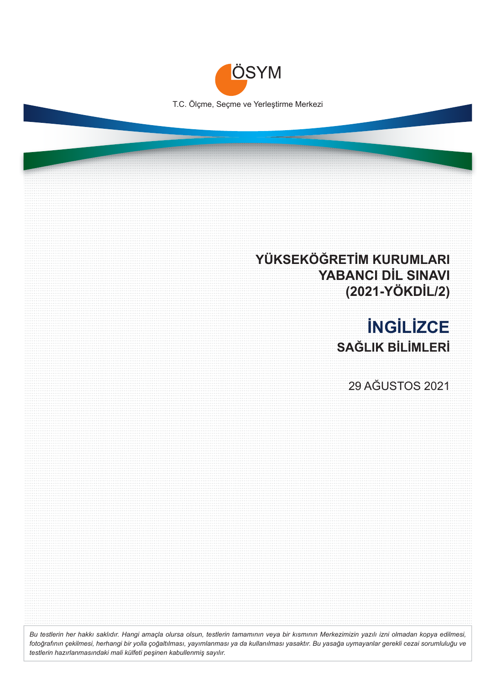

## **YÜKSEKÖĞRETİM KURUMLARI YABANCI DİL SINAVI (2021-YÖKDİL/2)**

## **İNGİLİZCE SAĞLIK BİLİMLERİ**

29 AĞUSTOS 2021

*Bu testlerin her hakkı saklıdır. Hangi amaçla olursa olsun, testlerin tamamının veya bir kısmının Merkezimizin yazılı izni olmadan kopya edilmesi, fotoğrafının çekilmesi, herhangi bir yolla çoğaltılması, yayımlanması ya da kullanılması yasaktır. Bu yasağa uymayanlar gerekli cezai sorumluluğu ve testlerin hazırlanmasındaki mali külfeti peşinen kabullenmiş sayılır.*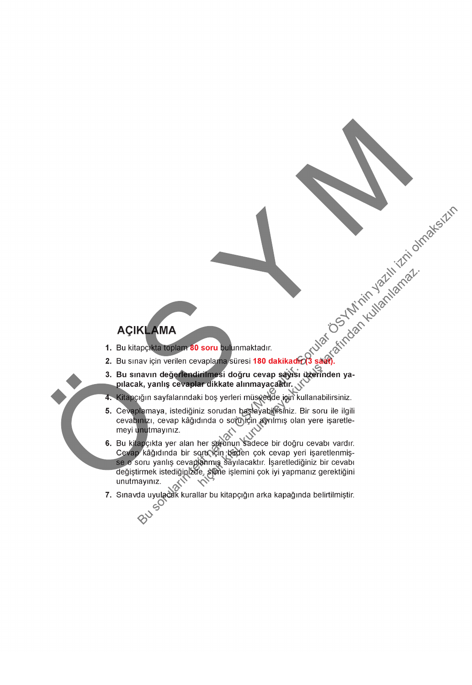BU

- 
- 
- 
- 
- 
- **1. CONTRACT ANNA**<br>
1. Bu kitapo**kia toplam 80 soru bulunmaktadır.**<br>
2. Bu sınav için verilen cevaplama süresi 180 dakikadir $G_3$  savit.<br>
2. Bu sınav için verilen cevaplama süresi 180 dakikadir $G_3$  savit.<br>
3. Bu sınav iç Cevap kâğıdında bir soru için birden çok cevap yeri işaretlenmiş-<br>se o soru yanlış cevaplanmış sayılacaktır. İşaretlediğiniz bir cevabı değiştirmek istediğinizde, silme işlemini çok iyi yapmanız gerektiğini unutmayınız.
- 7. Sınavda uyulacak kurallar bu kitapçığın arka kapağında belirtilmiştir.<br><br/>S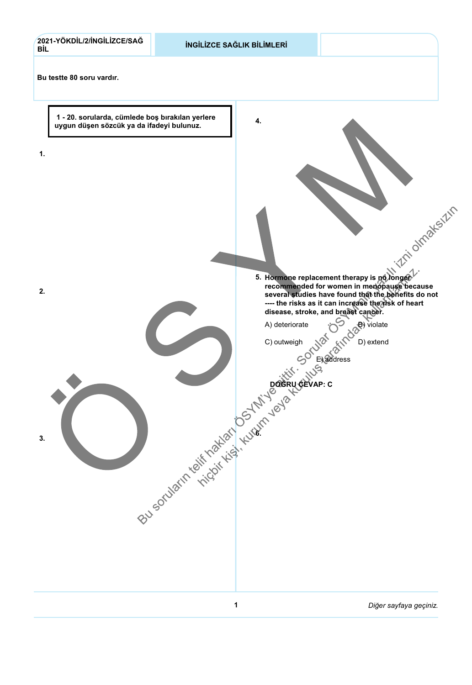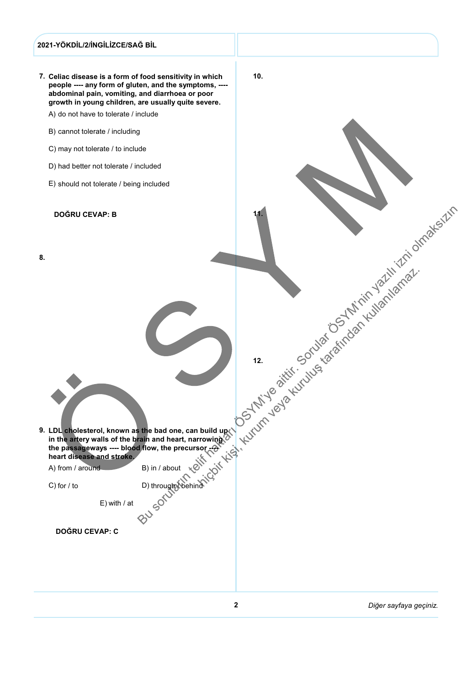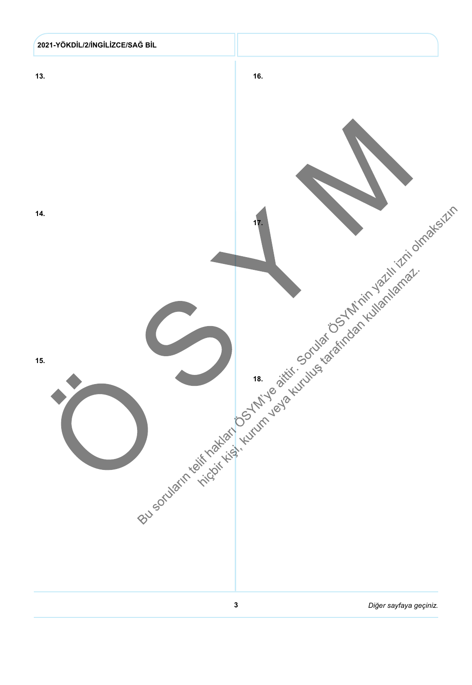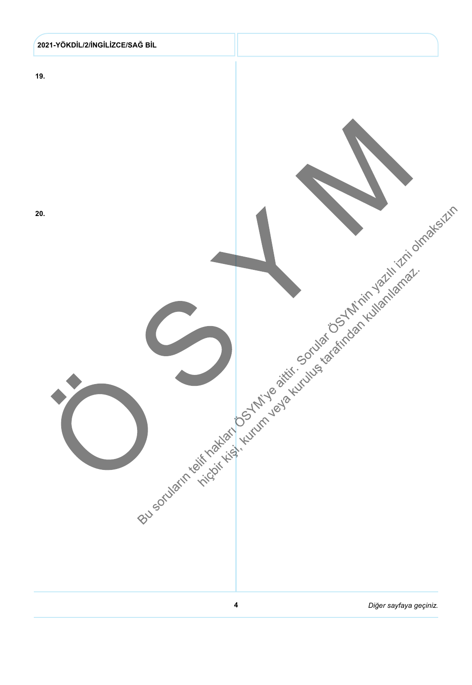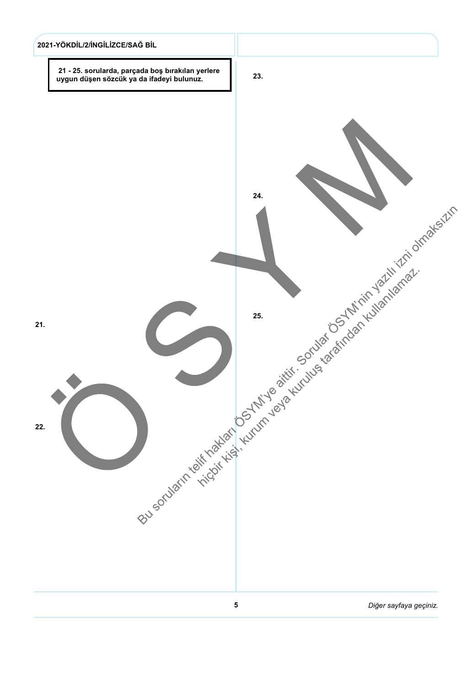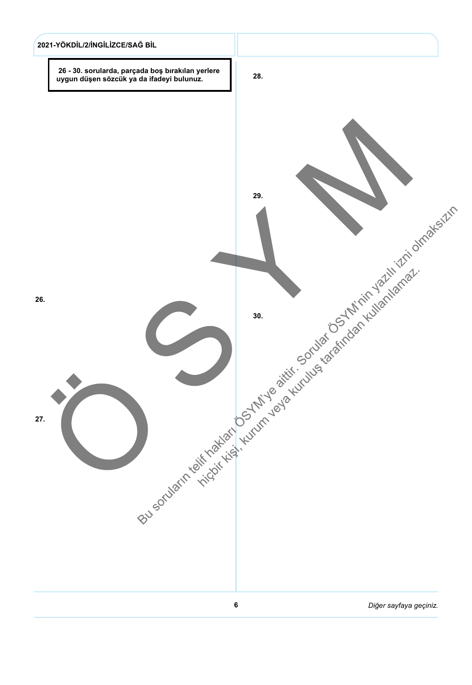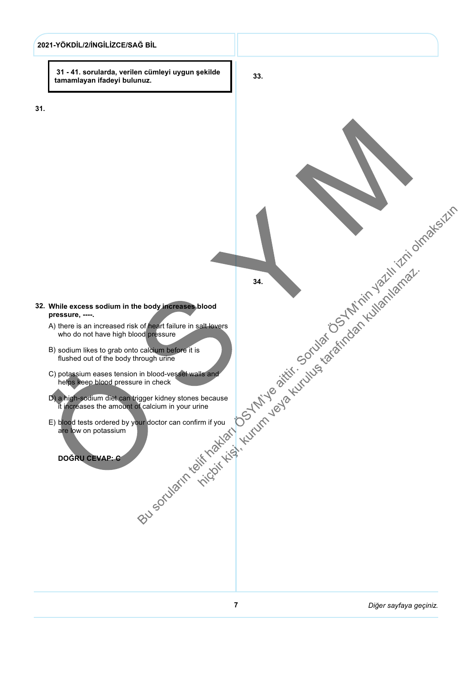

31.

 31 - 41. sorularda, verilen cümleyi uygun şekilde tamamlayan ifadeyi bulunuz.

33.

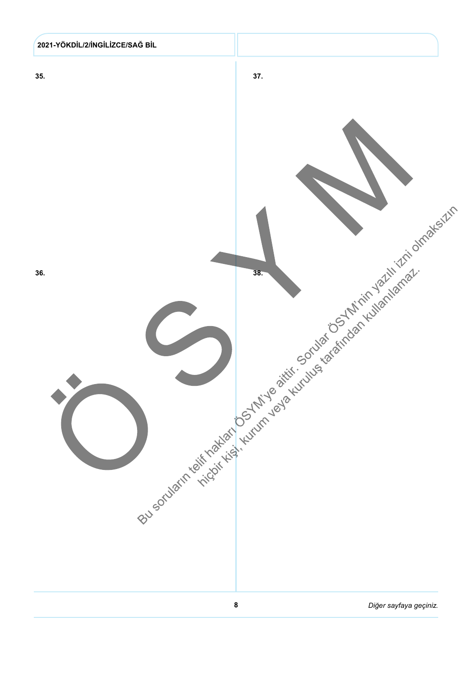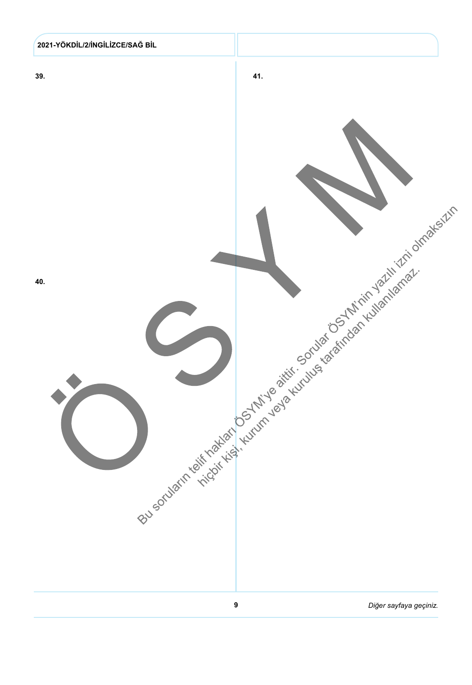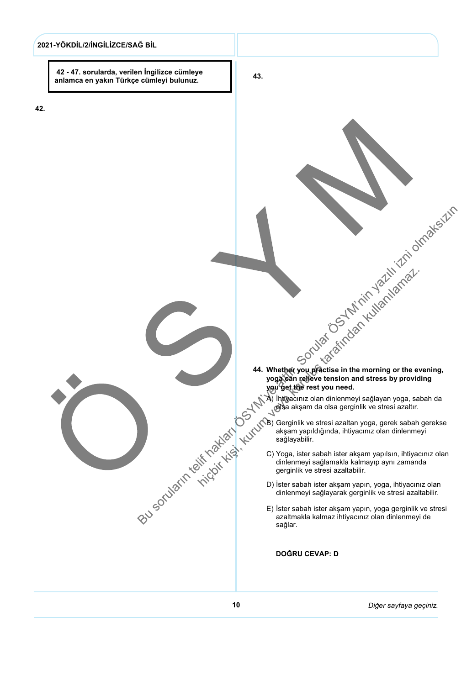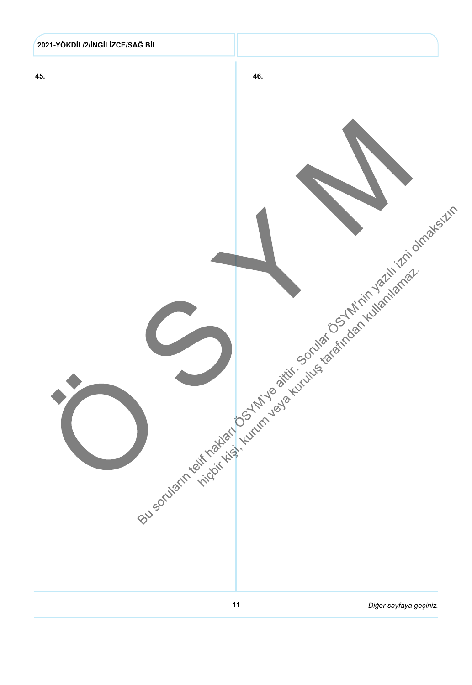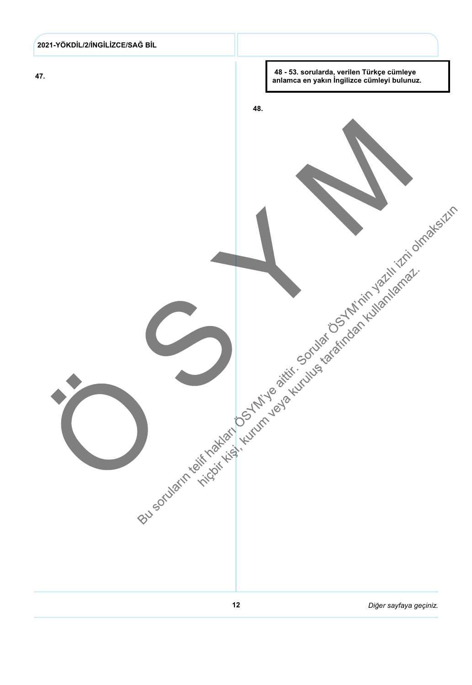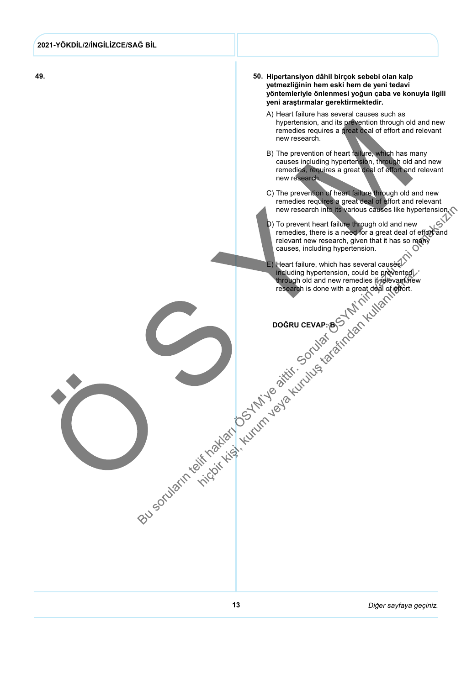| 2021-YÖKDİL/2/İNGİLİZCE/SAĞ BİL |                                                                                                                                                                                                                                                                                                                                                                                                                                                                                                                                                                                                                                                                                                                                                                                                                                                                                                                                                                                                                                                |
|---------------------------------|------------------------------------------------------------------------------------------------------------------------------------------------------------------------------------------------------------------------------------------------------------------------------------------------------------------------------------------------------------------------------------------------------------------------------------------------------------------------------------------------------------------------------------------------------------------------------------------------------------------------------------------------------------------------------------------------------------------------------------------------------------------------------------------------------------------------------------------------------------------------------------------------------------------------------------------------------------------------------------------------------------------------------------------------|
|                                 |                                                                                                                                                                                                                                                                                                                                                                                                                                                                                                                                                                                                                                                                                                                                                                                                                                                                                                                                                                                                                                                |
| 49.                             | 50. Hipertansiyon dâhil birçok sebebi olan kalp<br>yetmezliğinin hem eski hem de yeni tedavi<br>yöntemleriyle önlenmesi yoğun çaba ve konuyla ilgili<br>yeni araştırmalar gerektirmektedir.<br>A) Heart failure has several causes such as<br>hypertension, and its prevention through old and new<br>remedies requires a great deal of effort and relevant<br>new research.<br>B) The prevention of heart failure, which has many<br>causes including hypertension, through old and new<br>remedies, requires a great deal of effort and relevant<br>new research.<br>C) The prevention of heart failure through old and new<br>remedies requires a great deal of effort and relevant<br>new research into its various causes like hypertension.<br>remedies, there is a need for a great deal of effort and<br>Solution of the control of the control of the control of the control of the control of the control of the control of the control of the control of the control of the control of the control of the control of the control of |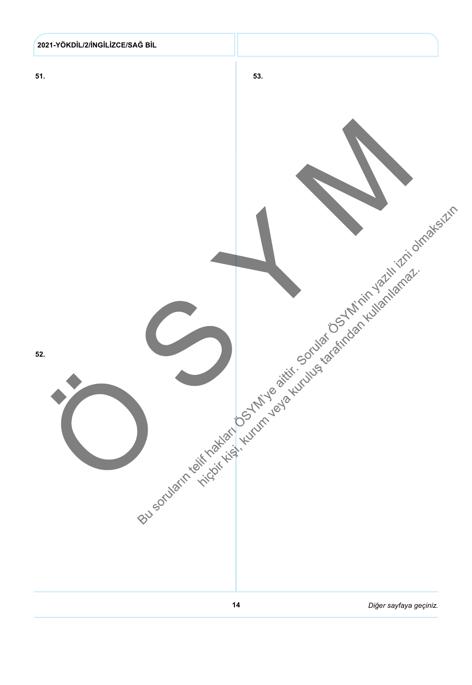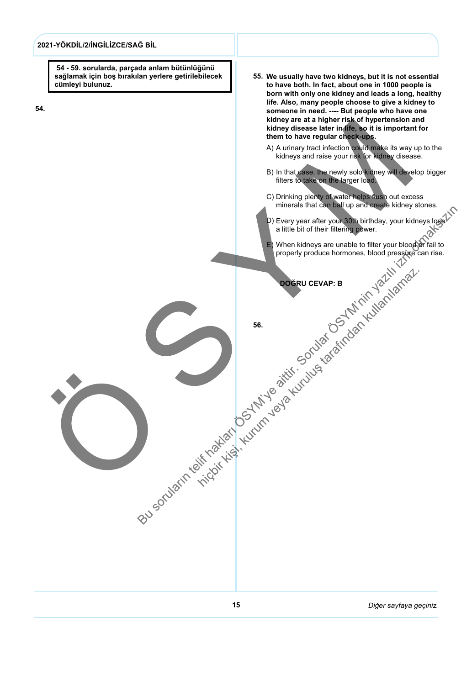![](_page_16_Figure_0.jpeg)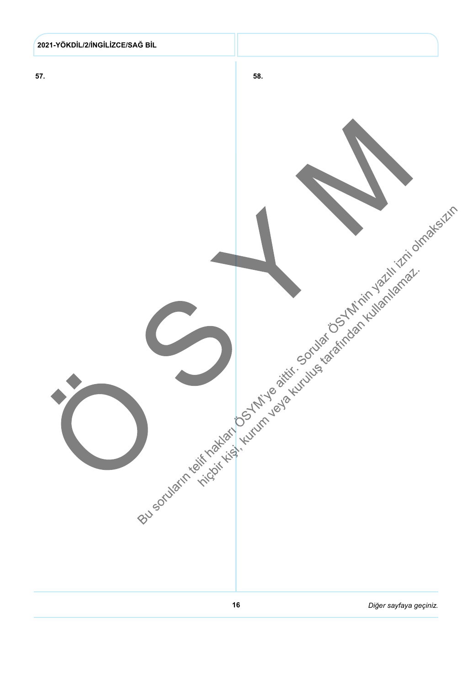![](_page_17_Figure_0.jpeg)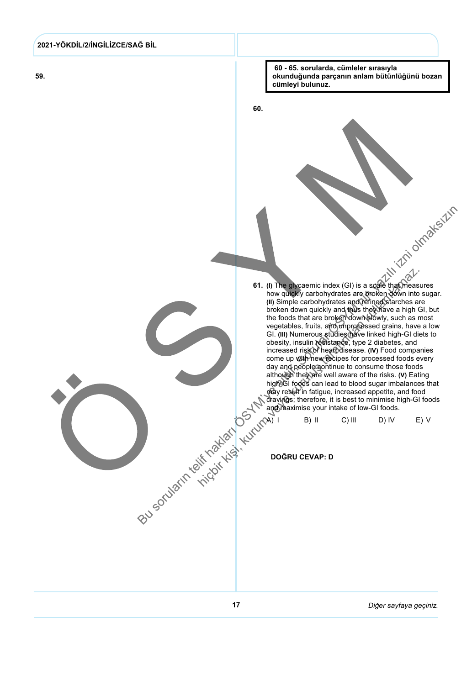![](_page_18_Figure_0.jpeg)

59.

![](_page_18_Figure_2.jpeg)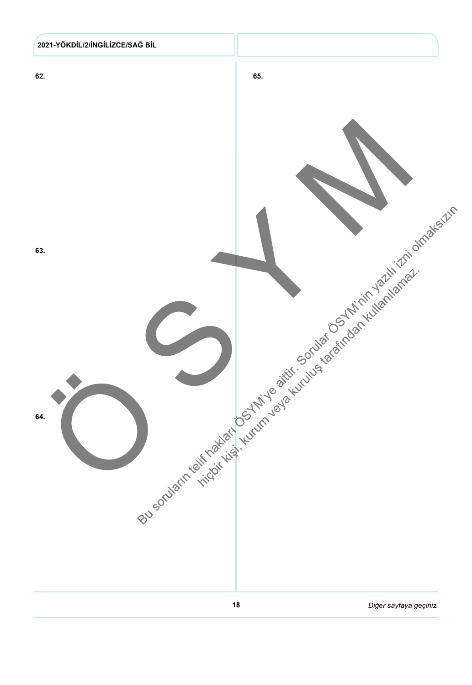![](_page_19_Figure_0.jpeg)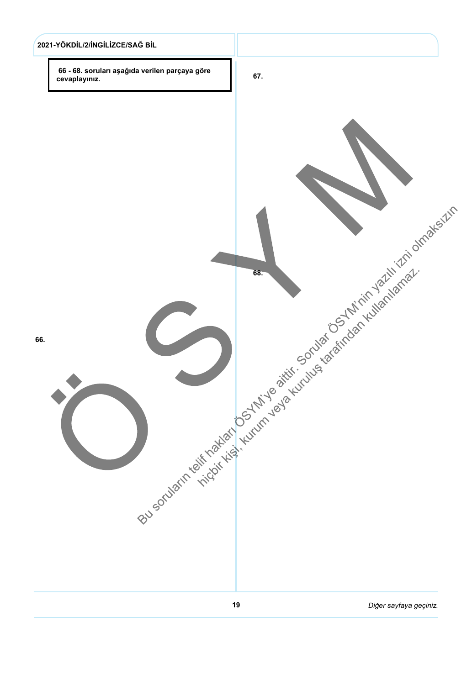![](_page_20_Figure_0.jpeg)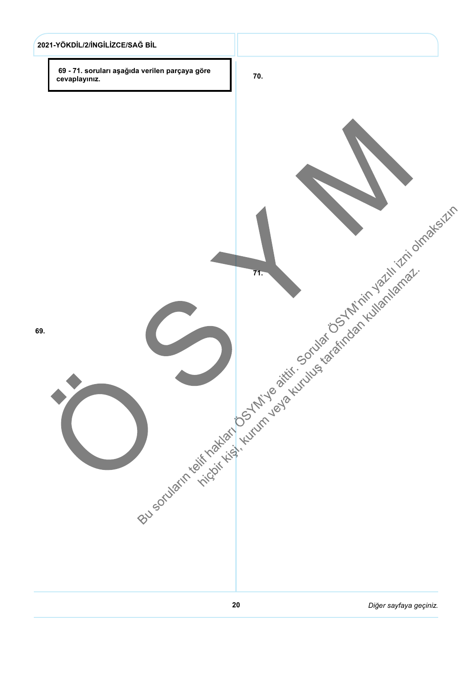![](_page_21_Figure_0.jpeg)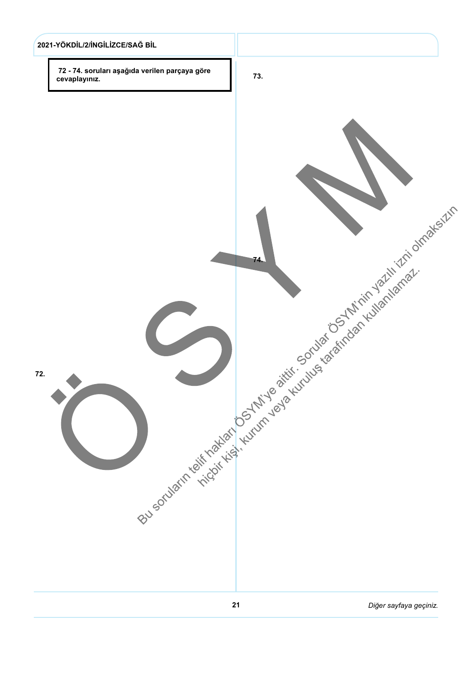![](_page_22_Figure_0.jpeg)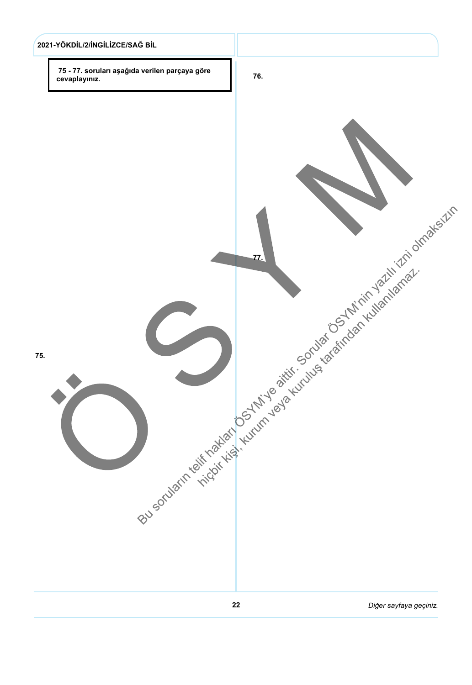![](_page_23_Figure_0.jpeg)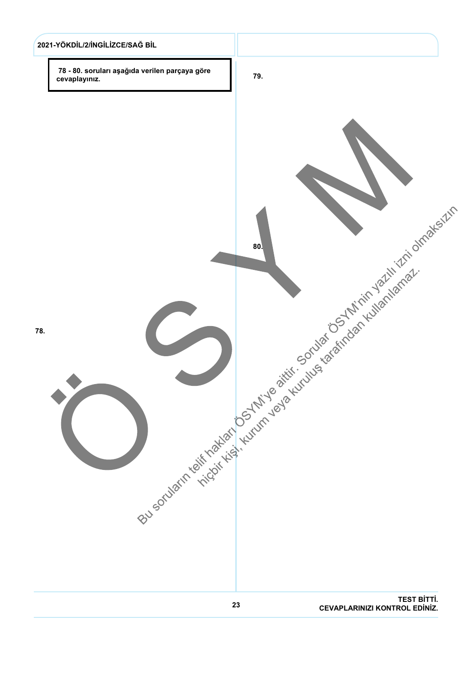![](_page_24_Figure_0.jpeg)